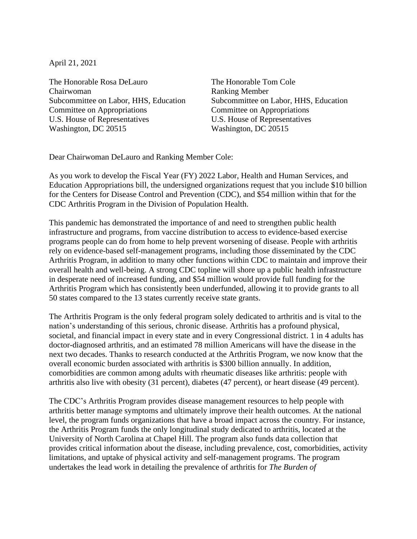April 21, 2021

The Honorable Rosa DeLauro Chairwoman Subcommittee on Labor, HHS, Education Committee on Appropriations U.S. House of Representatives Washington, DC 20515

The Honorable Tom Cole Ranking Member Subcommittee on Labor, HHS, Education Committee on Appropriations U.S. House of Representatives Washington, DC 20515

Dear Chairwoman DeLauro and Ranking Member Cole:

As you work to develop the Fiscal Year (FY) 2022 Labor, Health and Human Services, and Education Appropriations bill, the undersigned organizations request that you include \$10 billion for the Centers for Disease Control and Prevention (CDC), and \$54 million within that for the CDC Arthritis Program in the Division of Population Health.

This pandemic has demonstrated the importance of and need to strengthen public health infrastructure and programs, from vaccine distribution to access to evidence-based exercise programs people can do from home to help prevent worsening of disease. People with arthritis rely on evidence-based self-management programs, including those disseminated by the CDC Arthritis Program, in addition to many other functions within CDC to maintain and improve their overall health and well-being. A strong CDC topline will shore up a public health infrastructure in desperate need of increased funding, and \$54 million would provide full funding for the Arthritis Program which has consistently been underfunded, allowing it to provide grants to all 50 states compared to the 13 states currently receive state grants.

The Arthritis Program is the only federal program solely dedicated to arthritis and is vital to the nation's understanding of this serious, chronic disease. Arthritis has a profound physical, societal, and financial impact in every state and in every Congressional district. 1 in 4 adults has doctor-diagnosed arthritis, and an estimated 78 million Americans will have the disease in the next two decades. Thanks to research conducted at the Arthritis Program, we now know that the overall economic burden associated with arthritis is \$300 billion annually. In addition, comorbidities are common among adults with rheumatic diseases like arthritis: people with arthritis also live with obesity (31 percent), diabetes (47 percent), or heart disease (49 percent).

The CDC's Arthritis Program provides disease management resources to help people with arthritis better manage symptoms and ultimately improve their health outcomes. At the national level, the program funds organizations that have a broad impact across the country. For instance, the Arthritis Program funds the only longitudinal study dedicated to arthritis, located at the University of North Carolina at Chapel Hill. The program also funds data collection that provides critical information about the disease, including prevalence, cost, comorbidities, activity limitations, and uptake of physical activity and self-management programs. The program undertakes the lead work in detailing the prevalence of arthritis for *The Burden of*